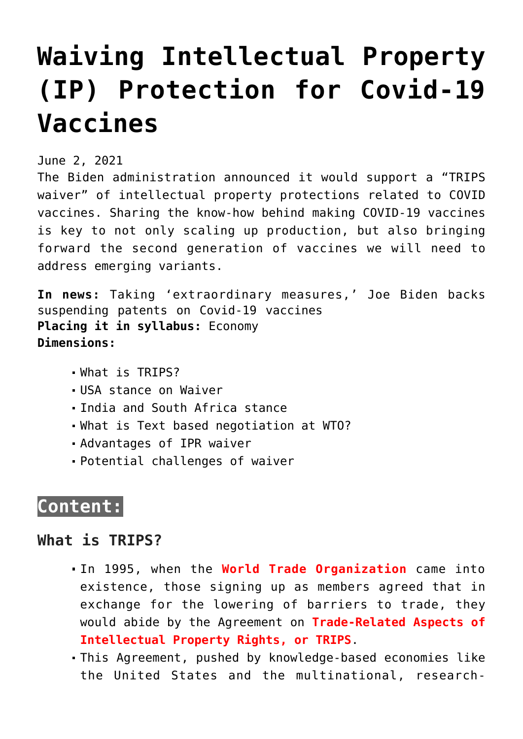# **[Waiving Intellectual Property](https://journalsofindia.com/waiving-intellectual-property-ip-protection-for-covid-19-vaccines/) [\(IP\) Protection for Covid-19](https://journalsofindia.com/waiving-intellectual-property-ip-protection-for-covid-19-vaccines/) [Vaccines](https://journalsofindia.com/waiving-intellectual-property-ip-protection-for-covid-19-vaccines/)**

June 2, 2021

The Biden administration announced it would support a "TRIPS waiver" of intellectual property protections related to COVID vaccines. Sharing the know-how behind making COVID-19 vaccines is key to not only scaling up production, but also bringing forward the second generation of vaccines we will need to address emerging variants.

**In news:** Taking 'extraordinary measures,' Joe Biden backs suspending patents on Covid-19 vaccines **Placing it in syllabus:** Economy **Dimensions:**

- What is TRIPS?
- USA stance on Waiver
- India and South Africa stance
- What is Text based negotiation at WTO?
- Advantages of IPR waiver
- Potential challenges of waiver

## **Content:**

#### **What is TRIPS?**

- In 1995, when the **World Trade Organization** came into existence, those signing up as members agreed that in exchange for the lowering of barriers to trade, they would abide by the Agreement on **Trade-Related Aspects of Intellectual Property Rights, or TRIPS**.
- This Agreement, pushed by knowledge-based economies like the United States and the multinational, research-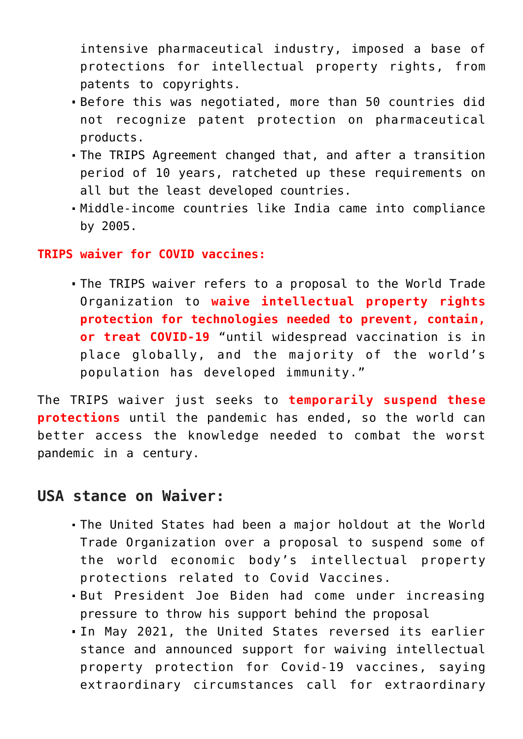intensive pharmaceutical industry, imposed a base of protections for intellectual property rights, from patents to copyrights.

- Before this was negotiated, more than 50 countries did not recognize patent protection on pharmaceutical products.
- The TRIPS Agreement changed that, and after a transition period of 10 years, ratcheted up these requirements on all but the least developed countries.
- Middle-income countries like India came into compliance by 2005.

#### **TRIPS waiver for COVID vaccines:**

The TRIPS waiver refers to a proposal to the World Trade Organization to **waive intellectual property rights protection for technologies needed to prevent, contain, or treat COVID-19** "until widespread vaccination is in place globally, and the majority of the world's population has developed immunity."

The TRIPS waiver just seeks to **temporarily suspend these protections** until the pandemic has ended, so the world can better access the knowledge needed to combat the worst pandemic in a century.

#### **USA stance on Waiver:**

- The United States had been a major holdout at the World Trade Organization over a proposal to suspend some of the world economic body's intellectual property protections related to Covid Vaccines.
- But President Joe Biden had come under increasing pressure to throw his support behind the proposal
- In May 2021, the United States reversed its earlier stance and announced support for waiving intellectual property protection for Covid-19 vaccines, saying extraordinary circumstances call for extraordinary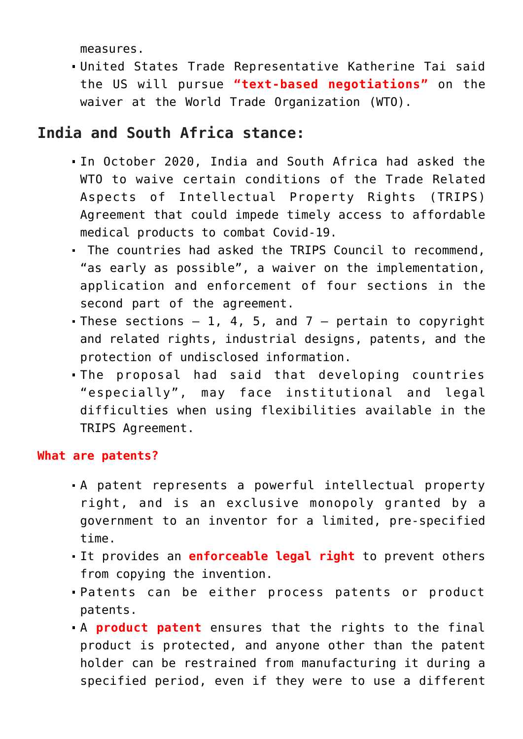measures.

United States Trade Representative Katherine Tai said the US will pursue **"text-based negotiations"** on the waiver at the World Trade Organization (WTO).

### **India and South Africa stance:**

- In October 2020, India and South Africa had asked the WTO to waive certain conditions of the Trade Related Aspects of Intellectual Property Rights (TRIPS) Agreement that could impede timely access to affordable medical products to combat Covid-19.
- The countries had asked the TRIPS Council to recommend, "as early as possible", a waiver on the implementation, application and enforcement of four sections in the second part of the agreement.
- These sections  $-1$ , 4, 5, and  $7$  pertain to copyright and related rights, industrial designs, patents, and the protection of undisclosed information.
- The proposal had said that developing countries "especially", may face institutional and legal difficulties when using flexibilities available in the TRIPS Agreement.

#### **What are patents?**

- A patent represents a powerful intellectual property right, and is an exclusive monopoly granted by a government to an inventor for a limited, pre-specified time.
- It provides an **enforceable legal right** to prevent others from copying the invention.
- Patents can be either process patents or product patents.
- A **product patent** ensures that the rights to the final product is protected, and anyone other than the patent holder can be restrained from manufacturing it during a specified period, even if they were to use a different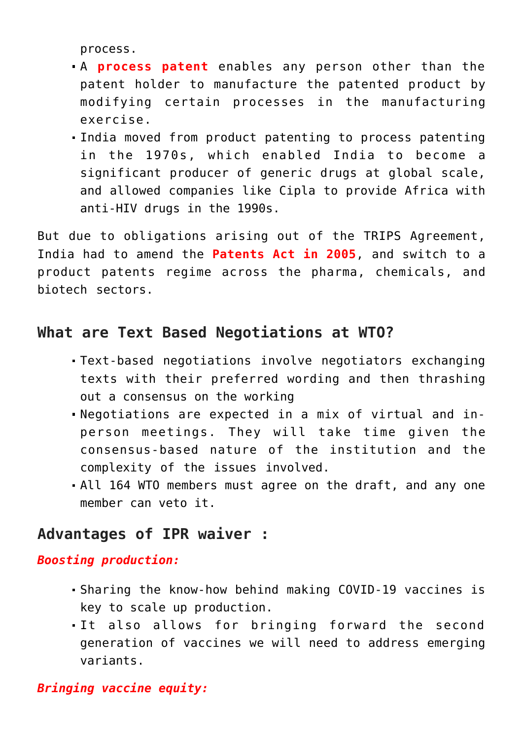process.

- A **process patent** enables any person other than the patent holder to manufacture the patented product by modifying certain processes in the manufacturing exercise.
- India moved from product patenting to process patenting in the 1970s, which enabled India to become a significant producer of generic drugs at global scale, and allowed companies like Cipla to provide Africa with anti-HIV drugs in the 1990s.

But due to obligations arising out of the TRIPS Agreement, India had to amend the **Patents Act in 2005**, and switch to a product patents regime across the pharma, chemicals, and biotech sectors.

## **What are Text Based Negotiations at WTO?**

- Text-based negotiations involve negotiators exchanging texts with their preferred wording and then thrashing out a consensus on the working
- Negotiations are expected in a mix of virtual and inperson meetings. They will take time given the consensus-based nature of the institution and the complexity of the issues involved.
- All 164 WTO members must agree on the draft, and any one member can veto it.

## **Advantages of IPR waiver :**

#### *Boosting production:*

- Sharing the know-how behind making COVID-19 vaccines is key to scale up production.
- It also allows for bringing forward the second generation of vaccines we will need to address emerging variants.

#### *Bringing vaccine equity:*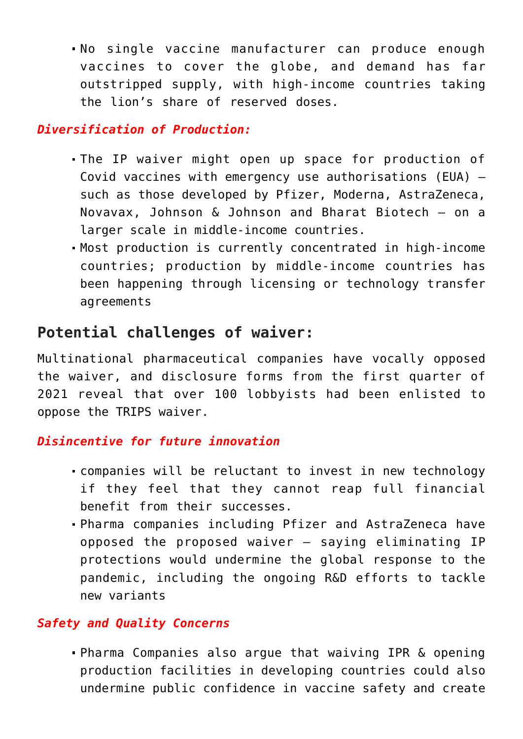No single vaccine manufacturer can produce enough vaccines to cover the globe, and demand has far outstripped supply, with high-income countries taking the lion's share of reserved doses.

#### *Diversification of Production:*

- The IP waiver might open up space for production of Covid vaccines with emergency use authorisations (EUA) such as those developed by Pfizer, Moderna, AstraZeneca, Novavax, Johnson & Johnson and Bharat Biotech — on a larger scale in middle-income countries.
- Most production is currently concentrated in high-income countries; production by middle-income countries has been happening through licensing or technology transfer agreements

## **Potential challenges of waiver:**

Multinational pharmaceutical companies have vocally opposed the waiver, and disclosure forms from the first quarter of 2021 reveal that over 100 lobbyists had been enlisted to oppose the TRIPS waiver.

#### *Disincentive for future innovation*

- companies will be reluctant to invest in new technology if they feel that they cannot reap full financial benefit from their successes.
- Pharma companies including Pfizer and AstraZeneca have opposed the proposed waiver — saying eliminating IP protections would undermine the global response to the pandemic, including the ongoing R&D efforts to tackle new variants

#### *Safety and Quality Concerns*

Pharma Companies also argue that waiving IPR & opening production facilities in developing countries could also undermine public confidence in vaccine safety and create